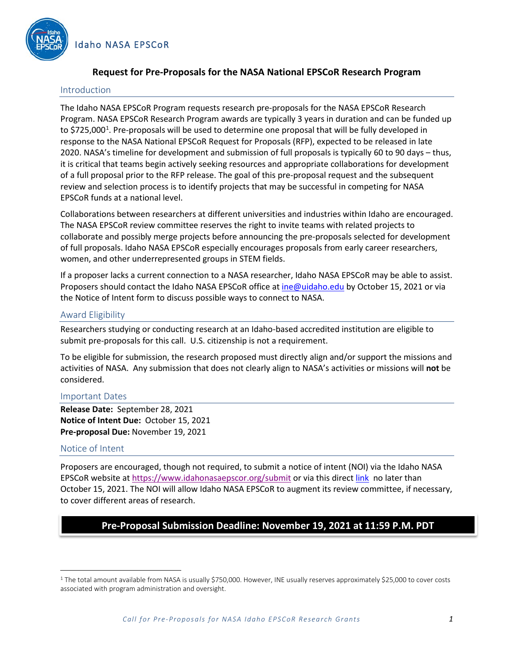

# **Request for Pre-Proposals for the NASA National EPSCoR Research Program**

### Introduction

The Idaho NASA EPSCoR Program requests research pre-proposals for the NASA EPSCoR Research Program. NASA EPSCoR Research Program awards are typically 3 years in duration and can be funded up to \$725,000<sup>[1](#page-0-0)</sup>. Pre-proposals will be used to determine one proposal that will be fully developed in response to the NASA National EPSCoR Request for Proposals (RFP), expected to be released in late 2020. NASA's timeline for development and submission of full proposals is typically 60 to 90 days – thus, it is critical that teams begin actively seeking resources and appropriate collaborations for development of a full proposal prior to the RFP release. The goal of this pre-proposal request and the subsequent review and selection process is to identify projects that may be successful in competing for NASA EPSCoR funds at a national level.

Collaborations between researchers at different universities and industries within Idaho are encouraged. The NASA EPSCoR review committee reserves the right to invite teams with related projects to collaborate and possibly merge projects before announcing the pre-proposals selected for development of full proposals. Idaho NASA EPSCoR especially encourages proposals from early career researchers, women, and other underrepresented groups in STEM fields.

If a proposer lacks a current connection to a NASA researcher, Idaho NASA EPSCoR may be able to assist. Proposers should contact the Idaho NASA EPSCoR office at [ine@uidaho.edu](mailto:ine@uidaho.edu) by October 15, 2021 or via the Notice of Intent form to discuss possible ways to connect to NASA.

### Award Eligibility

Researchers studying or conducting research at an Idaho-based accredited institution are eligible to submit pre-proposals for this call. U.S. citizenship is not a requirement.

To be eligible for submission, the research proposed must directly align and/or support the missions and activities of NASA. Any submission that does not clearly align to NASA's activities or missions will **not** be considered.

### Important Dates

**Release Date:** September 28, 2021 **Notice of Intent Due:** October 15, 2021 **Pre-proposal Due:** November 19, 2021

### Notice of Intent

Proposers are encouraged, though not required, to submit a notice of intent (NOI) via the Idaho NASA EPSCoR website at <https://www.idahonasaepscor.org/submit> or via this direc[t link](https://app.smartsheet.com/b/form/b0195e3c361648a284f1878d0e65795f) no later than October 15, 2021. The NOI will allow Idaho NASA EPSCoR to augment its review committee, if necessary, to cover different areas of research.

# **Pre-Proposal Submission Deadline: November 19, 2021 at 11:59 P.M. PDT**

<span id="page-0-0"></span><sup>&</sup>lt;sup>1</sup> The total amount available from NASA is usually \$750,000. However, INE usually reserves approximately \$25,000 to cover costs associated with program administration and oversight.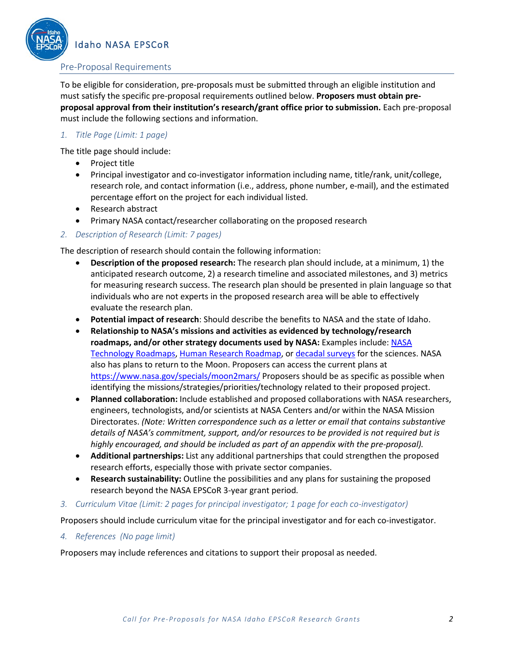

Idaho NASA EPSCoR

### Pre-Proposal Requirements

To be eligible for consideration, pre-proposals must be submitted through an eligible institution and must satisfy the specific pre-proposal requirements outlined below. **Proposers must obtain preproposal approval from their institution's research/grant office prior to submission.** Each pre-proposal must include the following sections and information.

### *1. Title Page (Limit: 1 page)*

The title page should include:

- Project title
- Principal investigator and co-investigator information including name, title/rank, unit/college, research role, and contact information (i.e., address, phone number, e-mail), and the estimated percentage effort on the project for each individual listed.
- Research abstract
- Primary NASA contact/researcher collaborating on the proposed research
- *2. Description of Research (Limit: 7 pages)*

The description of research should contain the following information:

- **Description of the proposed research:** The research plan should include, at a minimum, 1) the anticipated research outcome, 2) a research timeline and associated milestones, and 3) metrics for measuring research success. The research plan should be presented in plain language so that individuals who are not experts in the proposed research area will be able to effectively evaluate the research plan.
- **Potential impact of research**: Should describe the benefits to NASA and the state of Idaho.
- **Relationship to NASA's missions and activities as evidenced by technology/research roadmaps, and/or other strategy documents used by NASA:** Examples include: [NASA](https://www.nasa.gov/offices/oct/taxonomy/index.html)  [Technology Roadmaps,](https://www.nasa.gov/offices/oct/taxonomy/index.html) [Human Research Roadmap,](https://humanresearchroadmap.nasa.gov/) or [decadal surveys](http://science.nasa.gov/about-us/science-strategy/decadal-surveys/) for the sciences. NASA also has plans to return to the Moon. Proposers can access the current plans at <https://www.nasa.gov/specials/moon2mars/> Proposers should be as specific as possible when identifying the missions/strategies/priorities/technology related to their proposed project.
- **Planned collaboration:** Include established and proposed collaborations with NASA researchers, engineers, technologists, and/or scientists at NASA Centers and/or within the NASA Mission Directorates. *(Note: Written correspondence such as a letter or email that contains substantive details of NASA's commitment, support, and/or resources to be provided is not required but is highly encouraged, and should be included as part of an appendix with the pre-proposal).*
- **Additional partnerships:** List any additional partnerships that could strengthen the proposed research efforts, especially those with private sector companies.
- **Research sustainability:** Outline the possibilities and any plans for sustaining the proposed research beyond the NASA EPSCoR 3-year grant period.
- *3. Curriculum Vitae (Limit: 2 pages for principal investigator; 1 page for each co-investigator)*

Proposers should include curriculum vitae for the principal investigator and for each co-investigator.

*4. References (No page limit)*

Proposers may include references and citations to support their proposal as needed.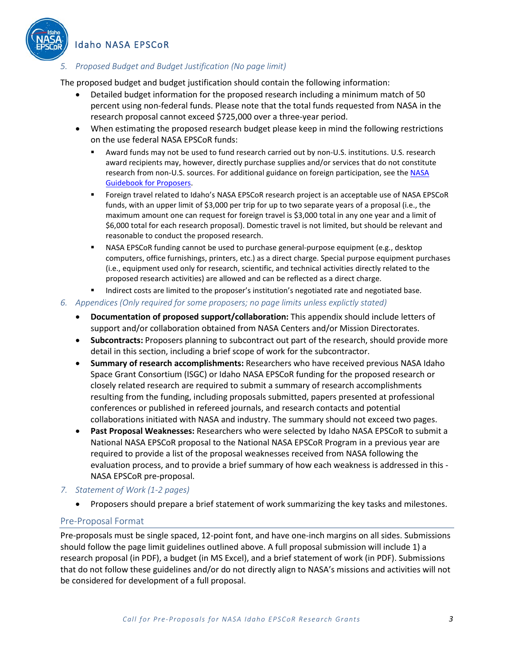

# Idaho NASA EPSCoR

# *5. Proposed Budget and Budget Justification (No page limit)*

The proposed budget and budget justification should contain the following information:

- Detailed budget information for the proposed research including a minimum match of 50 percent using non-federal funds. Please note that the total funds requested from NASA in the research proposal cannot exceed \$725,000 over a three-year period.
- When estimating the proposed research budget please keep in mind the following restrictions on the use federal NASA EPSCoR funds:
	- Award funds may not be used to fund research carried out by non-U.S. institutions. U.S. research award recipients may, however, directly purchase supplies and/or services that do not constitute research from non-U.S. sources. For additional guidance on foreign participation, see the [NASA](https://www.nasa.gov/sites/default/files/atoms/files/may_2021_ed._nasa_guidebook_for_proposers.pdf)  [Guidebook for Proposers.](https://www.nasa.gov/sites/default/files/atoms/files/may_2021_ed._nasa_guidebook_for_proposers.pdf)
	- Foreign travel related to Idaho's NASA EPSCoR research project is an acceptable use of NASA EPSCoR funds, with an upper limit of \$3,000 per trip for up to two separate years of a proposal (i.e., the maximum amount one can request for foreign travel is \$3,000 total in any one year and a limit of \$6,000 total for each research proposal). Domestic travel is not limited, but should be relevant and reasonable to conduct the proposed research.
	- NASA EPSCoR funding cannot be used to purchase general-purpose equipment (e.g., desktop computers, office furnishings, printers, etc.) as a direct charge. Special purpose equipment purchases (i.e., equipment used only for research, scientific, and technical activities directly related to the proposed research activities) are allowed and can be reflected as a direct charge.
	- **Indirect costs are limited to the proposer's institution's negotiated rate and negotiated base.**

### *6. Appendices (Only required for some proposers; no page limits unless explictly stated)*

- **Documentation of proposed support/collaboration:** This appendix should include letters of support and/or collaboration obtained from NASA Centers and/or Mission Directorates.
- **Subcontracts:** Proposers planning to subcontract out part of the research, should provide more detail in this section, including a brief scope of work for the subcontractor.
- **Summary of research accomplishments:** Researchers who have received previous NASA Idaho Space Grant Consortium (ISGC) or Idaho NASA EPSCoR funding for the proposed research or closely related research are required to submit a summary of research accomplishments resulting from the funding, including proposals submitted, papers presented at professional conferences or published in refereed journals, and research contacts and potential collaborations initiated with NASA and industry. The summary should not exceed two pages.
- **Past Proposal Weaknesses:** Researchers who were selected by Idaho NASA EPSCoR to submit a National NASA EPSCoR proposal to the National NASA EPSCoR Program in a previous year are required to provide a list of the proposal weaknesses received from NASA following the evaluation process, and to provide a brief summary of how each weakness is addressed in this - NASA EPSCoR pre-proposal.

### *7. Statement of Work (1-2 pages)*

• Proposers should prepare a brief statement of work summarizing the key tasks and milestones.

### Pre-Proposal Format

Pre-proposals must be single spaced, 12-point font, and have one-inch margins on all sides. Submissions should follow the page limit guidelines outlined above. A full proposal submission will include 1) a research proposal (in PDF), a budget (in MS Excel), and a brief statement of work (in PDF). Submissions that do not follow these guidelines and/or do not directly align to NASA's missions and activities will not be considered for development of a full proposal.